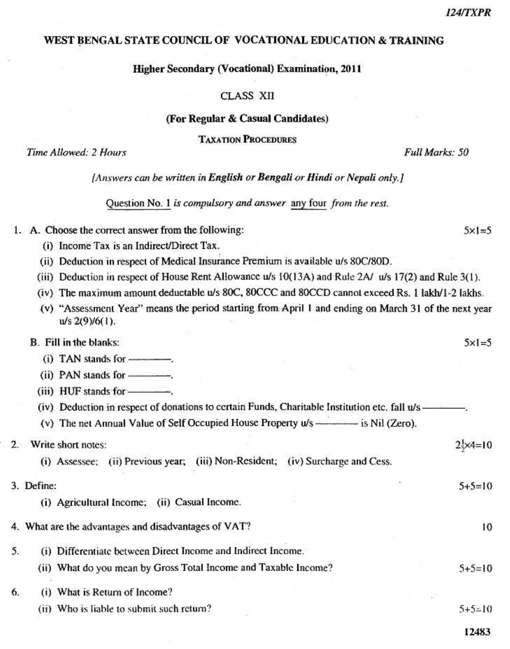$5x1=5$ 

#### WEST BENGAL STATE COUNCIL OF VOCATIONAL EDUCATION & TRAINING

#### Higher Secondary (Vocational) Examination, 2011

# **CLASS XII**

#### (For Regular & Casual Candidates)

**TAXATION PROCEDURES** 

Time Allowed: 2 Hours

Full Marks: 50

[Answers can be written in English or Bengali or Hindi or Nepali only.]

Question No. 1 is compulsory and answer any four from the rest.

- 1. A. Choose the correct answer from the following:
	- (i) Income Tax is an Indirect/Direct Tax.
	- (ii) Deduction in respect of Medical Insurance Premium is available u/s 80C/80D.
	- (iii) Deduction in respect of House Rent Allowance u/s 10(13A) and Rule 2A/ u/s 17(2) and Rule 3(1).
	- (iv) The maximum amount deductable u/s 80C, 80CCC and 80CCD cannot exceed Rs. 1 lakh/1-2 lakhs.
	- (v) "Assessment Year" means the period starting from April 1 and ending on March 31 of the next year  $u/s$  2(9)/6(1).

| B. Fill in the blanks:                                                                          | $5 \times 1 = 5$             |
|-------------------------------------------------------------------------------------------------|------------------------------|
| $(i)$ TAN stands for $\frac{1}{1}$ .                                                            |                              |
| $(ii)$ PAN stands for $\frac{1}{1}$                                                             |                              |
| (iii) HUF stands for ---------                                                                  |                              |
| (iv) Deduction in respect of donations to certain Funds, Charitable Institution etc. fall u/s - |                              |
| (v) The net Annual Value of Self Occupied House Property u/s ————— is Nil (Zero).               |                              |
| Write short notes:<br>$2^{\circ}$                                                               | $2\frac{1}{2} \times 4 = 10$ |
| (i) Assessee; (ii) Previous year; (iii) Non-Resident; (iv) Surcharge and Cess.                  |                              |
| 3. Define:                                                                                      | $5+5=10$                     |
| (i) Agricultural Income;<br>(ii) Casual Income.                                                 |                              |
| 4. What are the advantages and disadvantages of VAT?                                            | 10                           |

- 5. (i) Differentiate between Direct Income and Indirect Income. (ii) What do you mean by Gross Total Income and Taxable Income?  $5+5=10$ 6. (i) What is Return of Income?
	- (ii) Who is liable to submit such return?  $5+5=10$

12483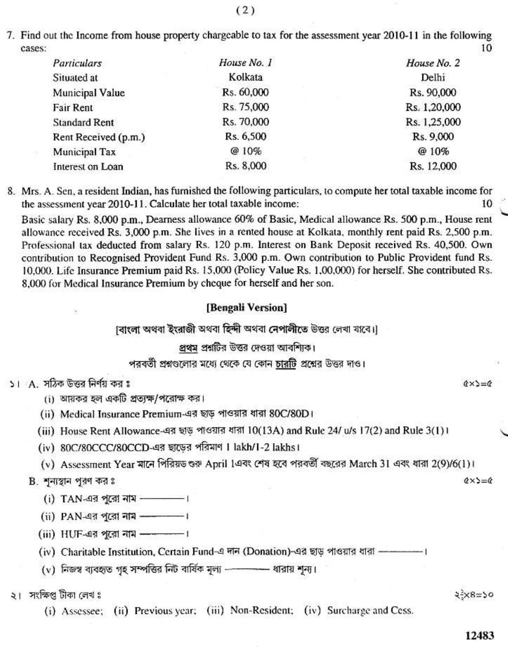7. Find out the Income from house property chargeable to tax for the assessment year 2010-11 in the following 10 cases:

| House No. 1 | House No. 2  |
|-------------|--------------|
| Kolkata     | Delhi        |
| Rs. 60,000  | Rs. 90,000   |
| Rs. 75,000  | Rs. 1,20,000 |
| Rs. 70,000  | Rs. 1,25,000 |
| Rs. 6,500   | Rs. 9,000    |
| @10%        | @10%         |
| Rs. 8,000   | Rs. 12,000   |
|             |              |

8. Mrs. A. Sen, a resident Indian, has furnished the following particulars, to compute her total taxable income for the assessment year 2010-11. Calculate her total taxable income: 10

Basic salary Rs. 8,000 p.m., Dearness allowance 60% of Basic, Medical allowance Rs. 500 p.m., House rent allowance received Rs. 3,000 p.m. She lives in a rented house at Kolkata, monthly rent paid Rs. 2,500 p.m. Professional tax deducted from salary Rs. 120 p.m. Interest on Bank Deposit received Rs. 40,500. Own contribution to Recognised Provident Fund Rs. 3,000 p.m. Own contribution to Public Provident fund Rs. 10,000. Life Insurance Premium paid Rs. 15,000 (Policy Value Rs. 1,00,000) for herself. She contributed Rs. 8,000 for Medical Insurance Premium by cheque for herself and her son.

#### [Bengali Version]

াবাংলা অথবা ইংরাজী অথবা হিন্দী অথবা নেপালীতে উত্তর লেখা যাবে।।

# প্রথম প্রশ্নটির উত্তর দেওয়া আবশ্যিক।

পরবর্তী প্রশ্নগুলোর মধ্যে থেকে যে কোন চারটি প্রশ্নের উত্তর দাও।

# ১। A সঠিক উত্তর নির্ণয় কর ঃ

- (i) আয়কর হল একটি প্রত্যক্ষ/পরোক্ষ কর।
- (ii) Medical Insurance Premium-এর ছাড় পাওয়ার ধারা 80C/80D।
- (iii) House Rent Allowance-এর ছাড পাওয়ার ধারা 10(13A) and Rule 24/ u/s 17(2) and Rule 3(1) ৷
- (iv) 80C/80CCC/80CCD-এর ছাডের পরিমাণ 1 lakh/1-2 lakhs।
- (v) Assessment Year মানে পিরিয়ড ওরু April 1এবং শেষ হবে পরবর্তী বছরের March 31 এবং ধারা 2(9)/6(1)।

# B. শুন্যস্থান পুরণ কর ঃ

- (i) TAN-এর পূরো নাম –––––––।
- (ii) PAN-এর পুরো নাম ––––––।
- $(iii)$  HUF-এর পুরো নাম ––––––।
- (iv) Charitable Institution, Certain Fund-এ দান (Donation)-এর ছাড পাওয়ার ধারা ——
- (v) নিজস্ব ব্যবহৃত গৃহ সম্পত্তির নিট বার্ষিক মূল্য ----------- ধারায় শূন্য।

# ২। সংক্ষিপ্ত টীকা লেখ ঃ

(i) Assessee; (ii) Previous year; (iii) Non-Resident; (iv) Surcharge and Cess.

#### $25x8=50$

12483

 $Q \times \Sigma = Q$ 

 $\alpha \times \alpha = \alpha$